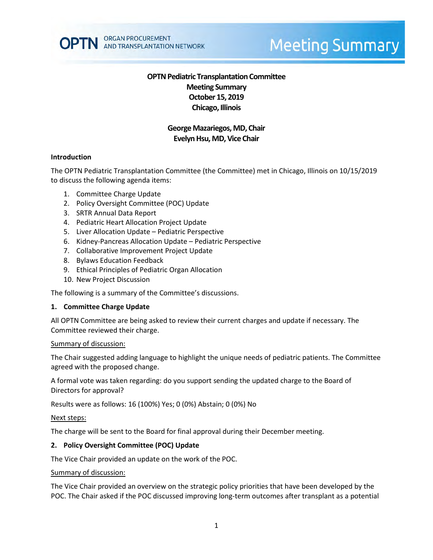

# **Meeting Summary**

# **OPTN Pediatric Transplantation Committee Meeting Summary October 15, 2019 Chicago, Illinois**

# **George Mazariegos, MD, Chair Evelyn Hsu, MD, Vice Chair**

#### **Introduction**

The OPTN Pediatric Transplantation Committee (the Committee) met in Chicago, Illinois on 10/15/2019 to discuss the following agenda items:

- 1. Committee Charge Update
- 2. Policy Oversight Committee (POC) Update
- 3. SRTR Annual Data Report
- 4. Pediatric Heart Allocation Project Update
- 5. Liver Allocation Update Pediatric Perspective
- 6. Kidney-Pancreas Allocation Update Pediatric Perspective
- 7. Collaborative Improvement Project Update
- 8. Bylaws Education Feedback
- 9. Ethical Principles of Pediatric Organ Allocation
- 10. New Project Discussion

The following is a summary of the Committee's discussions.

#### **1. Committee Charge Update**

All OPTN Committee are being asked to review their current charges and update if necessary. The Committee reviewed their charge.

#### Summary of discussion:

The Chair suggested adding language to highlight the unique needs of pediatric patients. The Committee agreed with the proposed change.

A formal vote was taken regarding: do you support sending the updated charge to the Board of Directors for approval?

Results were as follows: 16 (100%) Yes; 0 (0%) Abstain; 0 (0%) No

#### Next steps:

The charge will be sent to the Board for final approval during their December meeting.

#### **2. Policy Oversight Committee (POC) Update**

The Vice Chair provided an update on the work of the POC.

#### Summary of discussion:

The Vice Chair provided an overview on the strategic policy priorities that have been developed by the POC. The Chair asked if the POC discussed improving long-term outcomes after transplant as a potential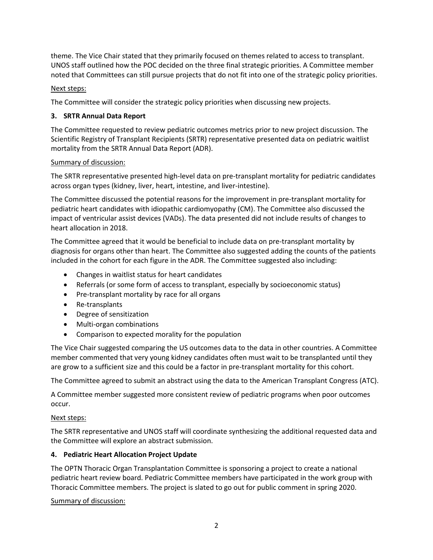theme. The Vice Chair stated that they primarily focused on themes related to access to transplant. UNOS staff outlined how the POC decided on the three final strategic priorities. A Committee member noted that Committees can still pursue projects that do not fit into one of the strategic policy priorities.

# Next steps:

The Committee will consider the strategic policy priorities when discussing new projects.

## **3. SRTR Annual Data Report**

The Committee requested to review pediatric outcomes metrics prior to new project discussion. The Scientific Registry of Transplant Recipients (SRTR) representative presented data on pediatric waitlist mortality from the SRTR Annual Data Report (ADR).

#### Summary of discussion:

The SRTR representative presented high-level data on pre-transplant mortality for pediatric candidates across organ types (kidney, liver, heart, intestine, and liver-intestine).

The Committee discussed the potential reasons for the improvement in pre-transplant mortality for pediatric heart candidates with idiopathic cardiomyopathy (CM). The Committee also discussed the impact of ventricular assist devices (VADs). The data presented did not include results of changes to heart allocation in 2018.

The Committee agreed that it would be beneficial to include data on pre-transplant mortality by diagnosis for organs other than heart. The Committee also suggested adding the counts of the patients included in the cohort for each figure in the ADR. The Committee suggested also including:

- Changes in waitlist status for heart candidates
- Referrals (or some form of access to transplant, especially by socioeconomic status)
- Pre-transplant mortality by race for all organs
- Re-transplants
- Degree of sensitization
- Multi-organ combinations
- Comparison to expected morality for the population

The Vice Chair suggested comparing the US outcomes data to the data in other countries. A Committee member commented that very young kidney candidates often must wait to be transplanted until they are grow to a sufficient size and this could be a factor in pre-transplant mortality for this cohort.

The Committee agreed to submit an abstract using the data to the American Transplant Congress (ATC).

A Committee member suggested more consistent review of pediatric programs when poor outcomes occur.

#### Next steps:

The SRTR representative and UNOS staff will coordinate synthesizing the additional requested data and the Committee will explore an abstract submission.

#### **4. Pediatric Heart Allocation Project Update**

The OPTN Thoracic Organ Transplantation Committee is sponsoring a project to create a national pediatric heart review board. Pediatric Committee members have participated in the work group with Thoracic Committee members. The project is slated to go out for public comment in spring 2020.

Summary of discussion: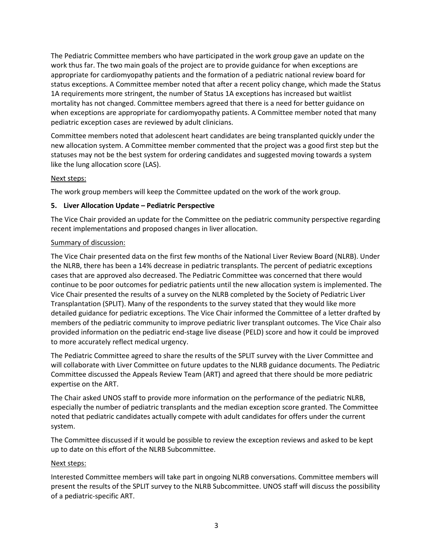The Pediatric Committee members who have participated in the work group gave an update on the work thus far. The two main goals of the project are to provide guidance for when exceptions are appropriate for cardiomyopathy patients and the formation of a pediatric national review board for status exceptions. A Committee member noted that after a recent policy change, which made the Status 1A requirements more stringent, the number of Status 1A exceptions has increased but waitlist mortality has not changed. Committee members agreed that there is a need for better guidance on when exceptions are appropriate for cardiomyopathy patients. A Committee member noted that many pediatric exception cases are reviewed by adult clinicians.

Committee members noted that adolescent heart candidates are being transplanted quickly under the new allocation system. A Committee member commented that the project was a good first step but the statuses may not be the best system for ordering candidates and suggested moving towards a system like the lung allocation score (LAS).

#### Next steps:

The work group members will keep the Committee updated on the work of the work group.

## **5. Liver Allocation Update – Pediatric Perspective**

The Vice Chair provided an update for the Committee on the pediatric community perspective regarding recent implementations and proposed changes in liver allocation.

## Summary of discussion:

The Vice Chair presented data on the first few months of the National Liver Review Board (NLRB). Under the NLRB, there has been a 14% decrease in pediatric transplants. The percent of pediatric exceptions cases that are approved also decreased. The Pediatric Committee was concerned that there would continue to be poor outcomes for pediatric patients until the new allocation system is implemented. The Vice Chair presented the results of a survey on the NLRB completed by the Society of Pediatric Liver Transplantation (SPLIT). Many of the respondents to the survey stated that they would like more detailed guidance for pediatric exceptions. The Vice Chair informed the Committee of a letter drafted by members of the pediatric community to improve pediatric liver transplant outcomes. The Vice Chair also provided information on the pediatric end-stage live disease (PELD) score and how it could be improved to more accurately reflect medical urgency.

The Pediatric Committee agreed to share the results of the SPLIT survey with the Liver Committee and will collaborate with Liver Committee on future updates to the NLRB guidance documents. The Pediatric Committee discussed the Appeals Review Team (ART) and agreed that there should be more pediatric expertise on the ART.

The Chair asked UNOS staff to provide more information on the performance of the pediatric NLRB, especially the number of pediatric transplants and the median exception score granted. The Committee noted that pediatric candidates actually compete with adult candidates for offers under the current system.

The Committee discussed if it would be possible to review the exception reviews and asked to be kept up to date on this effort of the NLRB Subcommittee.

#### Next steps:

Interested Committee members will take part in ongoing NLRB conversations. Committee members will present the results of the SPLIT survey to the NLRB Subcommittee. UNOS staff will discuss the possibility of a pediatric-specific ART.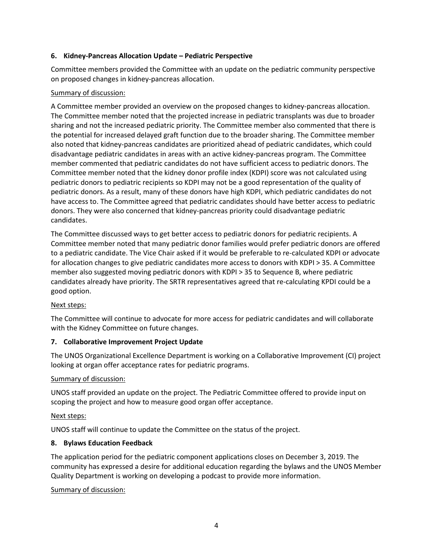## **6. Kidney-Pancreas Allocation Update – Pediatric Perspective**

Committee members provided the Committee with an update on the pediatric community perspective on proposed changes in kidney-pancreas allocation.

## Summary of discussion:

A Committee member provided an overview on the proposed changes to kidney-pancreas allocation. The Committee member noted that the projected increase in pediatric transplants was due to broader sharing and not the increased pediatric priority. The Committee member also commented that there is the potential for increased delayed graft function due to the broader sharing. The Committee member also noted that kidney-pancreas candidates are prioritized ahead of pediatric candidates, which could disadvantage pediatric candidates in areas with an active kidney-pancreas program. The Committee member commented that pediatric candidates do not have sufficient access to pediatric donors. The Committee member noted that the kidney donor profile index (KDPI) score was not calculated using pediatric donors to pediatric recipients so KDPI may not be a good representation of the quality of pediatric donors. As a result, many of these donors have high KDPI, which pediatric candidates do not have access to. The Committee agreed that pediatric candidates should have better access to pediatric donors. They were also concerned that kidney-pancreas priority could disadvantage pediatric candidates.

The Committee discussed ways to get better access to pediatric donors for pediatric recipients. A Committee member noted that many pediatric donor families would prefer pediatric donors are offered to a pediatric candidate. The Vice Chair asked if it would be preferable to re-calculated KDPI or advocate for allocation changes to give pediatric candidates more access to donors with KDPI > 35. A Committee member also suggested moving pediatric donors with KDPI > 35 to Sequence B, where pediatric candidates already have priority. The SRTR representatives agreed that re-calculating KPDI could be a good option.

# Next steps:

The Committee will continue to advocate for more access for pediatric candidates and will collaborate with the Kidney Committee on future changes.

# **7. Collaborative Improvement Project Update**

The UNOS Organizational Excellence Department is working on a Collaborative Improvement (CI) project looking at organ offer acceptance rates for pediatric programs.

#### Summary of discussion:

UNOS staff provided an update on the project. The Pediatric Committee offered to provide input on scoping the project and how to measure good organ offer acceptance.

# Next steps:

UNOS staff will continue to update the Committee on the status of the project.

#### **8. Bylaws Education Feedback**

The application period for the pediatric component applications closes on December 3, 2019. The community has expressed a desire for additional education regarding the bylaws and the UNOS Member Quality Department is working on developing a podcast to provide more information.

#### Summary of discussion: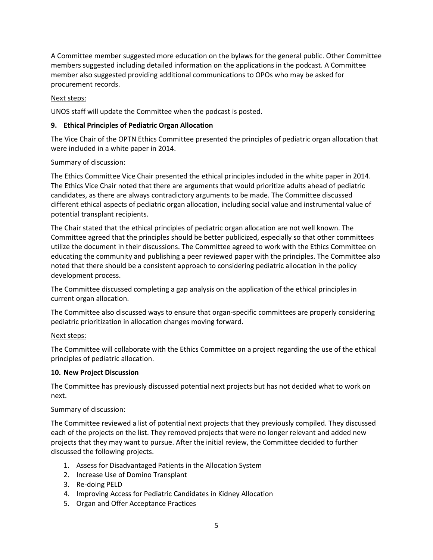A Committee member suggested more education on the bylaws for the general public. Other Committee members suggested including detailed information on the applications in the podcast. A Committee member also suggested providing additional communications to OPOs who may be asked for procurement records.

## Next steps:

UNOS staff will update the Committee when the podcast is posted.

## **9. Ethical Principles of Pediatric Organ Allocation**

The Vice Chair of the OPTN Ethics Committee presented the principles of pediatric organ allocation that were included in a white paper in 2014.

#### Summary of discussion:

The Ethics Committee Vice Chair presented the ethical principles included in the white paper in 2014. The Ethics Vice Chair noted that there are arguments that would prioritize adults ahead of pediatric candidates, as there are always contradictory arguments to be made. The Committee discussed different ethical aspects of pediatric organ allocation, including social value and instrumental value of potential transplant recipients.

The Chair stated that the ethical principles of pediatric organ allocation are not well known. The Committee agreed that the principles should be better publicized, especially so that other committees utilize the document in their discussions. The Committee agreed to work with the Ethics Committee on educating the community and publishing a peer reviewed paper with the principles. The Committee also noted that there should be a consistent approach to considering pediatric allocation in the policy development process.

The Committee discussed completing a gap analysis on the application of the ethical principles in current organ allocation.

The Committee also discussed ways to ensure that organ-specific committees are properly considering pediatric prioritization in allocation changes moving forward.

# Next steps:

The Committee will collaborate with the Ethics Committee on a project regarding the use of the ethical principles of pediatric allocation.

#### **10. New Project Discussion**

The Committee has previously discussed potential next projects but has not decided what to work on next.

#### Summary of discussion:

The Committee reviewed a list of potential next projects that they previously compiled. They discussed each of the projects on the list. They removed projects that were no longer relevant and added new projects that they may want to pursue. After the initial review, the Committee decided to further discussed the following projects.

- 1. Assess for Disadvantaged Patients in the Allocation System
- 2. Increase Use of Domino Transplant
- 3. Re-doing PELD
- 4. Improving Access for Pediatric Candidates in Kidney Allocation
- 5. Organ and Offer Acceptance Practices